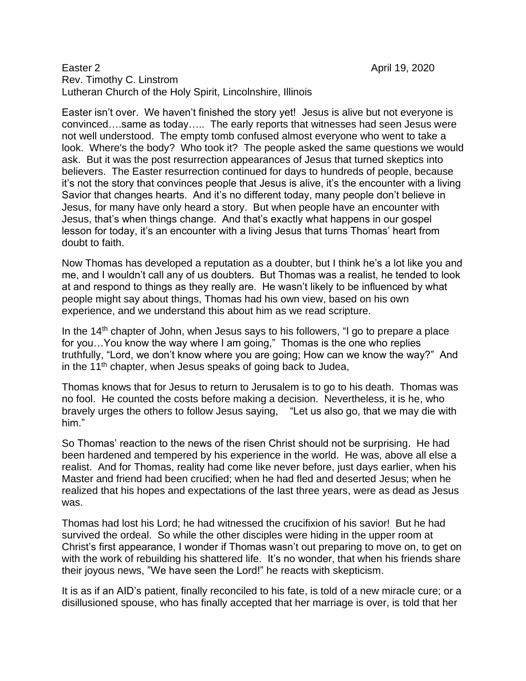## Easter 2 April 19, 2020 Rev. Timothy C. Linstrom Lutheran Church of the Holy Spirit, Lincolnshire, Illinois

Easter isn't over. We haven't finished the story yet! Jesus is alive but not everyone is convinced….same as today….. The early reports that witnesses had seen Jesus were not well understood. The empty tomb confused almost everyone who went to take a look. Where's the body? Who took it? The people asked the same questions we would ask. But it was the post resurrection appearances of Jesus that turned skeptics into believers. The Easter resurrection continued for days to hundreds of people, because it's not the story that convinces people that Jesus is alive, it's the encounter with a living Savior that changes hearts. And it's no different today, many people don't believe in Jesus, for many have only heard a story. But when people have an encounter with Jesus, that's when things change. And that's exactly what happens in our gospel lesson for today, it's an encounter with a living Jesus that turns Thomas' heart from doubt to faith.

Now Thomas has developed a reputation as a doubter, but I think he's a lot like you and me, and I wouldn't call any of us doubters. But Thomas was a realist, he tended to look at and respond to things as they really are. He wasn't likely to be influenced by what people might say about things, Thomas had his own view, based on his own experience, and we understand this about him as we read scripture.

In the  $14<sup>th</sup>$  chapter of John, when Jesus says to his followers, "I go to prepare a place for you…You know the way where I am going," Thomas is the one who replies truthfully, "Lord, we don't know where you are going; How can we know the way?" And in the  $11<sup>th</sup>$  chapter, when Jesus speaks of going back to Judea,

Thomas knows that for Jesus to return to Jerusalem is to go to his death. Thomas was no fool. He counted the costs before making a decision. Nevertheless, it is he, who bravely urges the others to follow Jesus saying, "Let us also go, that we may die with him."

So Thomas' reaction to the news of the risen Christ should not be surprising. He had been hardened and tempered by his experience in the world. He was, above all else a realist. And for Thomas, reality had come like never before, just days earlier, when his Master and friend had been crucified; when he had fled and deserted Jesus; when he realized that his hopes and expectations of the last three years, were as dead as Jesus was.

Thomas had lost his Lord; he had witnessed the crucifixion of his savior! But he had survived the ordeal. So while the other disciples were hiding in the upper room at Christ's first appearance, I wonder if Thomas wasn't out preparing to move on, to get on with the work of rebuilding his shattered life. It's no wonder, that when his friends share their joyous news, "We have seen the Lord!" he reacts with skepticism.

It is as if an AID's patient, finally reconciled to his fate, is told of a new miracle cure; or a disillusioned spouse, who has finally accepted that her marriage is over, is told that her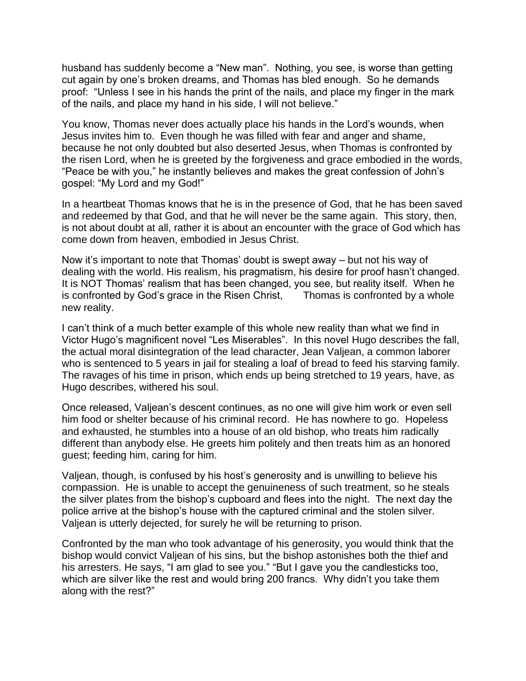husband has suddenly become a "New man". Nothing, you see, is worse than getting cut again by one's broken dreams, and Thomas has bled enough. So he demands proof: "Unless I see in his hands the print of the nails, and place my finger in the mark of the nails, and place my hand in his side, I will not believe."

You know, Thomas never does actually place his hands in the Lord's wounds, when Jesus invites him to. Even though he was filled with fear and anger and shame, because he not only doubted but also deserted Jesus, when Thomas is confronted by the risen Lord, when he is greeted by the forgiveness and grace embodied in the words, "Peace be with you," he instantly believes and makes the great confession of John's gospel: "My Lord and my God!"

In a heartbeat Thomas knows that he is in the presence of God, that he has been saved and redeemed by that God, and that he will never be the same again. This story, then, is not about doubt at all, rather it is about an encounter with the grace of God which has come down from heaven, embodied in Jesus Christ.

Now it's important to note that Thomas' doubt is swept away – but not his way of dealing with the world. His realism, his pragmatism, his desire for proof hasn't changed. It is NOT Thomas' realism that has been changed, you see, but reality itself. When he is confronted by God's grace in the Risen Christ, Thomas is confronted by a whole new reality.

I can't think of a much better example of this whole new reality than what we find in Victor Hugo's magnificent novel "Les Miserables". In this novel Hugo describes the fall, the actual moral disintegration of the lead character, Jean Valjean, a common laborer who is sentenced to 5 years in jail for stealing a loaf of bread to feed his starving family. The ravages of his time in prison, which ends up being stretched to 19 years, have, as Hugo describes, withered his soul.

Once released, Valjean's descent continues, as no one will give him work or even sell him food or shelter because of his criminal record. He has nowhere to go. Hopeless and exhausted, he stumbles into a house of an old bishop, who treats him radically different than anybody else. He greets him politely and then treats him as an honored guest; feeding him, caring for him.

Valjean, though, is confused by his host's generosity and is unwilling to believe his compassion. He is unable to accept the genuineness of such treatment, so he steals the silver plates from the bishop's cupboard and flees into the night. The next day the police arrive at the bishop's house with the captured criminal and the stolen silver. Valjean is utterly dejected, for surely he will be returning to prison.

Confronted by the man who took advantage of his generosity, you would think that the bishop would convict Valjean of his sins, but the bishop astonishes both the thief and his arresters. He says, "I am glad to see you." "But I gave you the candlesticks too, which are silver like the rest and would bring 200 francs. Why didn't you take them along with the rest?"